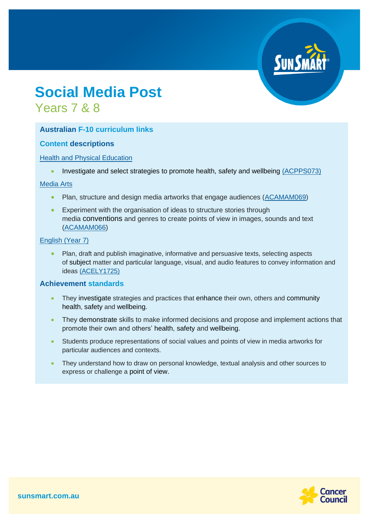# **Social Media Post** Years 7 & 8

# **Australian F-10 curriculum links**

### **Content descriptions**

### [Health and Physical Education](https://www.australiancurriculum.edu.au/f-10-curriculum/health-and-physical-education/?year=12997&strand=Personal%2C+Social+and+Community+Health&strand=Movement+and+Physical+Activity&capability=ignore&capability=Literacy&capability=Numeracy&capability=Information+and+Communication+Technology+%28ICT%29+Capability&capability=Critical+and+Creative+Thinking&capability=Personal+and+Social+Capability&capability=Ethical+Understanding&capability=Intercultural+Understanding&priority=ignore&priority=Aboriginal+and+Torres+Strait+Islander+Histories+and+Cultures&priority=Asia+and+Australia%E2%80%99s+Engagement+with+Asia&priority=Sustainability&elaborations=true&elaborations=false&scotterms=false&isFirstPageLoad=false)

• Investigate and select strategies to promote health, safety and wellbeing [\(ACPPS073\)](http://www.scootle.edu.au/ec/search?accContentId=ACPPS073)

#### [Media Arts](https://www.australiancurriculum.edu.au/f-10-curriculum/the-arts/media-arts/?year=12740&capability=ignore&capability=Literacy&capability=Numeracy&capability=Information+and+Communication+Technology+%28ICT%29+Capability&capability=Critical+and+Creative+Thinking&capability=Personal+and+Social+Capability&capability=Ethical+Understanding&capability=Intercultural+Understanding&priority=ignore&priority=Aboriginal+and+Torres+Strait+Islander+Histories+and+Cultures&priority=Asia+and+Australia%E2%80%99s+Engagement+with+Asia&priority=Sustainability&elaborations=true&elaborations=false&scotterms=false&isFirstPageLoad=false)

- Plan, structure and design media artworks that engage audiences [\(ACAMAM069\)](http://www.scootle.edu.au/ec/search?accContentId=ACAMAM069)
- Experiment with the organisation of ideas to structure stories through media conventions and genres to create points of view in images, sounds and text [\(ACAMAM066\)](http://www.scootle.edu.au/ec/search?accContentId=ACAMAM066)

#### [English](https://www.australiancurriculum.edu.au/f-10-curriculum/english/?year=11581&year=11582&strand=Language&strand=Literature&strand=Literacy&capability=ignore&capability=Literacy&capability=Numeracy&capability=Information+and+Communication+Technology+%28ICT%29+Capability&capability=Critical+and+Creative+Thinking&capability=Personal+and+Social+Capability&capability=Ethical+Understanding&capability=Intercultural+Understanding&priority=ignore&priority=Aboriginal+and+Torres+Strait+Islander+Histories+and+Cultures&priority=Asia+and+Australia%E2%80%99s+Engagement+with+Asia&priority=Sustainability&elaborations=true&elaborations=false&scotterms=false&isFirstPageLoad=false) (Year 7)

• Plan, draft and publish imaginative, informative and persuasive texts, selecting aspects of subject matter and particular language, visual, and audio features to convey information and ideas [\(ACELY1725\)](http://www.scootle.edu.au/ec/search?accContentId=ACELY1725)

### **Achievement standards**

- They investigate strategies and practices that enhance their own, others and community health, safety and wellbeing.
- They demonstrate skills to make informed decisions and propose and implement actions that promote their own and others' health, safety and wellbeing.
- Students produce representations of social values and points of view in media artworks for particular audiences and contexts.
- They understand how to draw on personal knowledge, textual analysis and other sources to express or challenge a point of view.

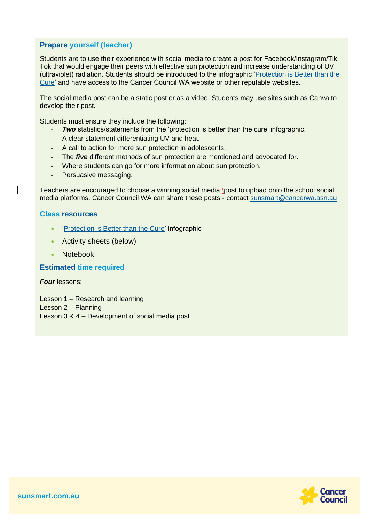# **Prepare yourself (teacher)**

Students are to use their experience with social media to create a post for Facebook/Instagram/Tik Tok that would engage their peers with effective sun protection and increase understanding of UV (ultraviolet) radiation. Students should be introduced to the infographic ['Protection is Better than the](https://www.cancerwa.asn.au/resources/2021-07-30-SS-protection-is-better-than-the-cure-infographic-poste-A3.pdf)  [Cure'](https://www.cancerwa.asn.au/resources/2021-07-30-SS-protection-is-better-than-the-cure-infographic-poste-A3.pdf) and have access to the Cancer Council WA website or other reputable websites.

The social media post can be a static post or as a video. Students may use sites such as Canva to develop their post.

Students must ensure they include the following:

- **Two** statistics/statements from the 'protection is better than the cure' infographic.
- A clear statement differentiating UV and heat.
- A call to action for more sun protection in adolescents.
- The *five* different methods of sun protection are mentioned and advocated for.
- Where students can go for more information about sun protection.
- Persuasive messaging.

Teachers are encouraged to choose a winning social media \post to upload onto the school social media platforms. Cancer Council WA can share these posts - contact [sunsmart@cancerwa.asn.au](mailto:sunsmart@cancerwa.asn.au)

### **Class resources**

- ['Protection is Better than the Cure'](https://www.cancerwa.asn.au/resources/2021-07-30-SS-protection-is-better-than-the-cure-infographic-poste-A3.pdf) infographic
- Activity sheets (below)
- Notebook

**Estimated time required**

*Four* lessons:

Lesson 1 – Research and learning Lesson 2 – Planning Lesson 3 & 4 – Development of social media post

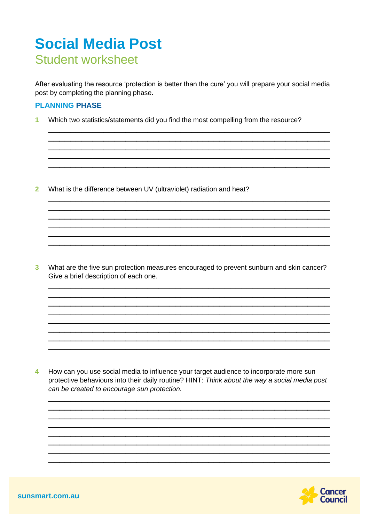# **Social Media Post Student worksheet**

After evaluating the resource 'protection is better than the cure' you will prepare your social media post by completing the planning phase.

## **PLANNING PHASE**

 $\overline{1}$ Which two statistics/statements did you find the most compelling from the resource?

 $\overline{2}$ What is the difference between UV (ultraviolet) radiation and heat?

 $\overline{\mathbf{3}}$ What are the five sun protection measures encouraged to prevent sunburn and skin cancer? Give a brief description of each one.

and the contract of the contract of the contract of the contract of the contract of the contract of the contract of

How can you use social media to influence your target audience to incorporate more sun  $\overline{\mathbf{4}}$ protective behaviours into their daily routine? HINT: Think about the way a social media post can be created to encourage sun protection.